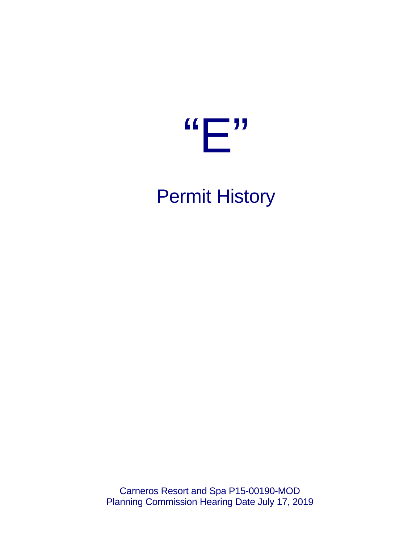

# Permit History

Carneros Resort and Spa P15-00190-MOD Planning Commission Hearing Date July 17, 2019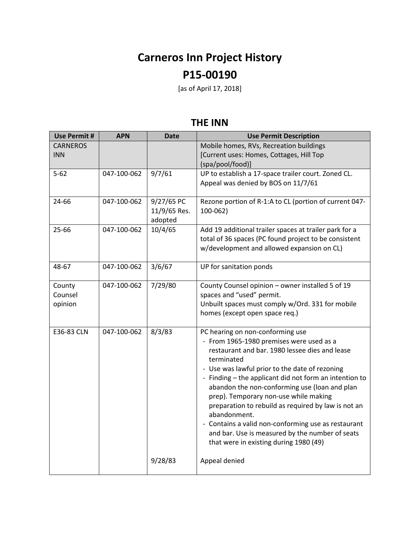## **Carneros Inn Project History P15-00190**

[as of April 17, 2018]

#### **THE INN**

| Use Permit #                  | <b>APN</b>  | <b>Date</b>                           | <b>Use Permit Description</b>                                                                                                                                                                                                                                                                                                                                                                                                                                                                                                                                                 |
|-------------------------------|-------------|---------------------------------------|-------------------------------------------------------------------------------------------------------------------------------------------------------------------------------------------------------------------------------------------------------------------------------------------------------------------------------------------------------------------------------------------------------------------------------------------------------------------------------------------------------------------------------------------------------------------------------|
| <b>CARNEROS</b><br><b>INN</b> |             |                                       | Mobile homes, RVs, Recreation buildings<br>[Current uses: Homes, Cottages, Hill Top<br>(spa/pool/food)]                                                                                                                                                                                                                                                                                                                                                                                                                                                                       |
| $5 - 62$                      | 047-100-062 | 9/7/61                                | UP to establish a 17-space trailer court. Zoned CL.<br>Appeal was denied by BOS on 11/7/61                                                                                                                                                                                                                                                                                                                                                                                                                                                                                    |
| 24-66                         | 047-100-062 | 9/27/65 PC<br>11/9/65 Res.<br>adopted | Rezone portion of R-1:A to CL (portion of current 047-<br>100-062)                                                                                                                                                                                                                                                                                                                                                                                                                                                                                                            |
| 25-66                         | 047-100-062 | 10/4/65                               | Add 19 additional trailer spaces at trailer park for a<br>total of 36 spaces (PC found project to be consistent<br>w/development and allowed expansion on CL)                                                                                                                                                                                                                                                                                                                                                                                                                 |
| 48-67                         | 047-100-062 | 3/6/67                                | UP for sanitation ponds                                                                                                                                                                                                                                                                                                                                                                                                                                                                                                                                                       |
| County<br>Counsel<br>opinion  | 047-100-062 | 7/29/80                               | County Counsel opinion - owner installed 5 of 19<br>spaces and "used" permit.<br>Unbuilt spaces must comply w/Ord. 331 for mobile<br>homes (except open space req.)                                                                                                                                                                                                                                                                                                                                                                                                           |
| E36-83 CLN                    | 047-100-062 | 8/3/83                                | PC hearing on non-conforming use<br>- From 1965-1980 premises were used as a<br>restaurant and bar. 1980 lessee dies and lease<br>terminated<br>- Use was lawful prior to the date of rezoning<br>- Finding - the applicant did not form an intention to<br>abandon the non-conforming use (loan and plan<br>prep). Temporary non-use while making<br>preparation to rebuild as required by law is not an<br>abandonment.<br>- Contains a valid non-conforming use as restaurant<br>and bar. Use is measured by the number of seats<br>that were in existing during 1980 (49) |
|                               |             | 9/28/83                               | Appeal denied                                                                                                                                                                                                                                                                                                                                                                                                                                                                                                                                                                 |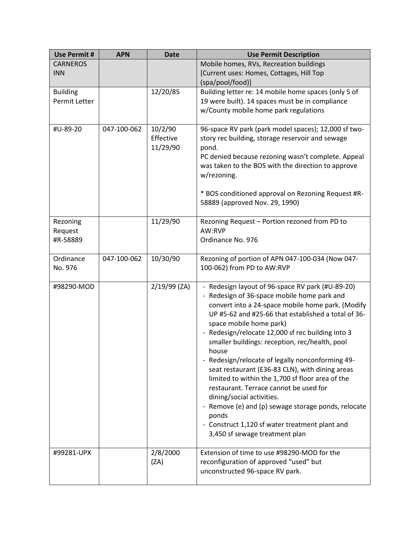| <b>Use Permit#</b> | <b>APN</b>  | <b>Date</b>  | <b>Use Permit Description</b>                                                                            |
|--------------------|-------------|--------------|----------------------------------------------------------------------------------------------------------|
| <b>CARNEROS</b>    |             |              | Mobile homes, RVs, Recreation buildings                                                                  |
| <b>INN</b>         |             |              | [Current uses: Homes, Cottages, Hill Top                                                                 |
|                    |             |              | (spa/pool/food)]                                                                                         |
| <b>Building</b>    |             | 12/20/85     | Building letter re: 14 mobile home spaces (only 5 of                                                     |
| Permit Letter      |             |              | 19 were built). 14 spaces must be in compliance                                                          |
|                    |             |              | w/County mobile home park regulations                                                                    |
| #U-89-20           | 047-100-062 | 10/2/90      | 96-space RV park (park model spaces); 12,000 sf two-                                                     |
|                    |             | Effective    | story rec building, storage reservoir and sewage                                                         |
|                    |             | 11/29/90     | pond.                                                                                                    |
|                    |             |              | PC denied because rezoning wasn't complete. Appeal<br>was taken to the BOS with the direction to approve |
|                    |             |              | w/rezoning.                                                                                              |
|                    |             |              | * BOS conditioned approval on Rezoning Request #R-                                                       |
|                    |             |              | 58889 (approved Nov. 29, 1990)                                                                           |
| Rezoning           |             | 11/29/90     | Rezoning Request - Portion rezoned from PD to                                                            |
| Request            |             |              | AW:RVP                                                                                                   |
| #R-58889           |             |              | Ordinance No. 976                                                                                        |
|                    |             |              |                                                                                                          |
| Ordinance          | 047-100-062 | 10/30/90     | Rezoning of portion of APN 047-100-034 (Now 047-                                                         |
| No. 976            |             |              | 100-062) from PD to AW:RVP                                                                               |
| #98290-MOD         |             | 2/19/99 (ZA) | - Redesign layout of 96-space RV park (#U-89-20)                                                         |
|                    |             |              | - Redesign of 36-space mobile home park and                                                              |
|                    |             |              | convert into a 24-space mobile home park. (Modify                                                        |
|                    |             |              | UP #5-62 and #25-66 that established a total of 36-                                                      |
|                    |             |              | space mobile home park)<br>Redesign/relocate 12,000 sf rec building into 3                               |
|                    |             |              | smaller buildings: reception, rec/health, pool                                                           |
|                    |             |              | house                                                                                                    |
|                    |             |              | - Redesign/relocate of legally nonconforming 49-                                                         |
|                    |             |              | seat restaurant (E36-83 CLN), with dining areas                                                          |
|                    |             |              | limited to within the 1,700 sf floor area of the                                                         |
|                    |             |              | restaurant. Terrace cannot be used for                                                                   |
|                    |             |              | dining/social activities.<br>- Remove (e) and (p) sewage storage ponds, relocate                         |
|                    |             |              | ponds                                                                                                    |
|                    |             |              | - Construct 1,120 sf water treatment plant and                                                           |
|                    |             |              | 3,450 sf sewage treatment plan                                                                           |
| #99281-UPX         |             | 2/8/2000     | Extension of time to use #98290-MOD for the                                                              |
|                    |             | (ZA)         | reconfiguration of approved "used" but                                                                   |
|                    |             |              | unconstructed 96-space RV park.                                                                          |
|                    |             |              |                                                                                                          |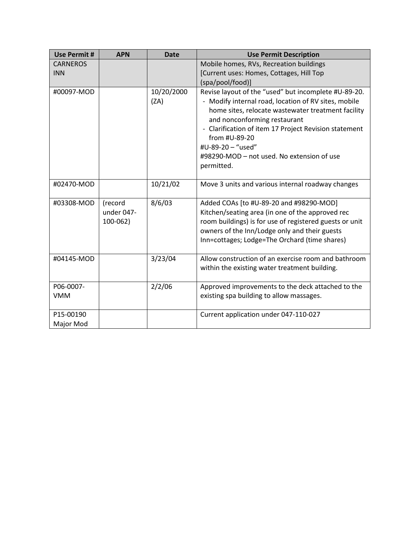| <b>Use Permit #</b>     | <b>APN</b>                        | <b>Date</b>        | <b>Use Permit Description</b>                                                                                                                                                                                                                                                                                                                                 |
|-------------------------|-----------------------------------|--------------------|---------------------------------------------------------------------------------------------------------------------------------------------------------------------------------------------------------------------------------------------------------------------------------------------------------------------------------------------------------------|
| <b>CARNEROS</b>         |                                   |                    | Mobile homes, RVs, Recreation buildings                                                                                                                                                                                                                                                                                                                       |
| <b>INN</b>              |                                   |                    | [Current uses: Homes, Cottages, Hill Top                                                                                                                                                                                                                                                                                                                      |
|                         |                                   |                    | (spa/pool/food)]                                                                                                                                                                                                                                                                                                                                              |
| #00097-MOD              |                                   | 10/20/2000<br>(ZA) | Revise layout of the "used" but incomplete #U-89-20.<br>- Modify internal road, location of RV sites, mobile<br>home sites, relocate wastewater treatment facility<br>and nonconforming restaurant<br>- Clarification of item 17 Project Revision statement<br>from #U-89-20<br>#U-89-20 - "used"<br>#98290-MOD – not used. No extension of use<br>permitted. |
| #02470-MOD              |                                   | 10/21/02           | Move 3 units and various internal roadway changes                                                                                                                                                                                                                                                                                                             |
| #03308-MOD              | (record<br>under 047-<br>100-062) | 8/6/03             | Added COAs [to #U-89-20 and #98290-MOD]<br>Kitchen/seating area (in one of the approved rec<br>room buildings) is for use of registered guests or unit<br>owners of the Inn/Lodge only and their guests<br>Inn=cottages; Lodge=The Orchard (time shares)                                                                                                      |
| #04145-MOD              |                                   | 3/23/04            | Allow construction of an exercise room and bathroom<br>within the existing water treatment building.                                                                                                                                                                                                                                                          |
| P06-0007-<br><b>VMM</b> |                                   | 2/2/06             | Approved improvements to the deck attached to the<br>existing spa building to allow massages.                                                                                                                                                                                                                                                                 |
| P15-00190<br>Major Mod  |                                   |                    | Current application under 047-110-027                                                                                                                                                                                                                                                                                                                         |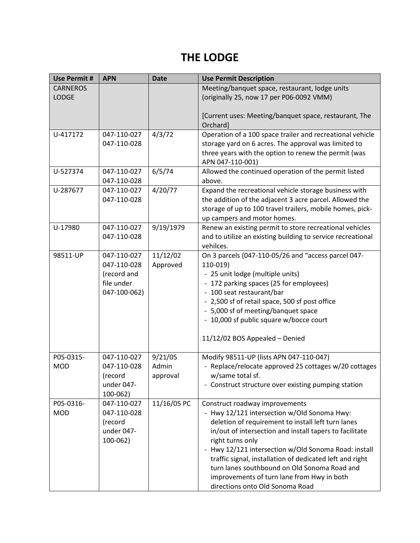### **THE LODGE**

| <b>Use Permit #</b> | <b>APN</b>   | <b>Date</b> | <b>Use Permit Description</b>                                                            |
|---------------------|--------------|-------------|------------------------------------------------------------------------------------------|
| <b>CARNEROS</b>     |              |             | Meeting/banquet space, restaurant, lodge units                                           |
| <b>LODGE</b>        |              |             | (originally 25, now 17 per P06-0092 VMM)                                                 |
|                     |              |             |                                                                                          |
|                     |              |             | [Current uses: Meeting/banquet space, restaurant, The                                    |
|                     |              |             | Orchard]                                                                                 |
| U-417172            | 047-110-027  | 4/3/72      | Operation of a 100 space trailer and recreational vehicle                                |
|                     | 047-110-028  |             | storage yard on 6 acres. The approval was limited to                                     |
|                     |              |             | three years with the option to renew the permit (was                                     |
|                     |              |             | APN 047-110-001)                                                                         |
| U-527374            | 047-110-027  | 6/5/74      | Allowed the continued operation of the permit listed                                     |
|                     | 047-110-028  |             | above.                                                                                   |
| U-287677            | 047-110-027  | 4/20/77     | Expand the recreational vehicle storage business with                                    |
|                     | 047-110-028  |             | the addition of the adjacent 3 acre parcel. Allowed the                                  |
|                     |              |             | storage of up to 100 travel trailers, mobile homes, pick-<br>up campers and motor homes. |
| U-17980             | 047-110-027  | 9/19/1979   | Renew an existing permit to store recreational vehicles                                  |
|                     | 047-110-028  |             | and to utilize an existing building to service recreational                              |
|                     |              |             | vehilces.                                                                                |
| 98511-UP            | 047-110-027  | 11/12/02    | On 3 parcels (047-110-05/26 and "access parcel 047-                                      |
|                     | 047-110-028  | Approved    | 110-019)                                                                                 |
|                     | (record and  |             | - 25 unit lodge (multiple units)                                                         |
|                     | file under   |             | - 172 parking spaces (25 for employees)                                                  |
|                     | 047-100-062) |             | - 100 seat restaurant/bar                                                                |
|                     |              |             | - 2,500 sf of retail space, 500 sf post office                                           |
|                     |              |             | - 5,000 sf of meeting/banquet space                                                      |
|                     |              |             | - 10,000 sf public square w/bocce court                                                  |
|                     |              |             |                                                                                          |
|                     |              |             | 11/12/02 BOS Appealed - Denied                                                           |
|                     |              |             |                                                                                          |
| P05-0315-           | 047-110-027  | 9/21/05     | Modify 98511-UP (lists APN 047-110-047)                                                  |
| <b>MOD</b>          | 047-110-028  | Admin       | - Replace/relocate approved 25 cottages w/20 cottages                                    |
|                     | (record      | approval    | w/same total sf.                                                                         |
|                     | under 047-   |             | - Construct structure over existing pumping station                                      |
|                     | $100 - 062$  |             |                                                                                          |
| P05-0316-           | 047-110-027  | 11/16/05 PC | Construct roadway improvements                                                           |
| <b>MOD</b>          | 047-110-028  |             | - Hwy 12/121 intersection w/Old Sonoma Hwy:                                              |
|                     | (record      |             | deletion of requirement to install left turn lanes                                       |
|                     | under 047-   |             | in/out of intersection and install tapers to facilitate                                  |
|                     | $100 - 062$  |             | right turns only                                                                         |
|                     |              |             | - Hwy 12/121 intersection w/Old Sonoma Road: install                                     |
|                     |              |             | traffic signal, installation of dedicated left and right                                 |
|                     |              |             | turn lanes southbound on Old Sonoma Road and                                             |
|                     |              |             | improvements of turn lane from Hwy in both                                               |
|                     |              |             | directions onto Old Sonoma Road                                                          |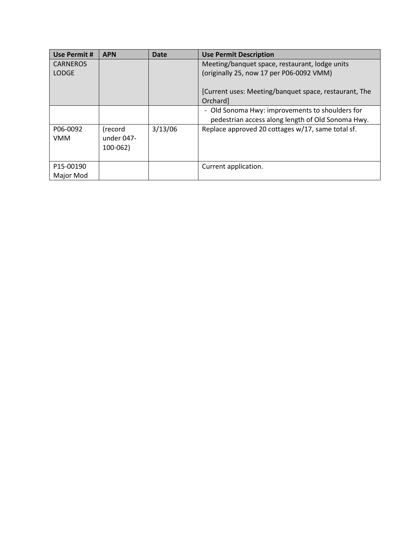| <b>Use Permit #</b> | <b>APN</b>  | <b>Date</b> | <b>Use Permit Description</b>                         |
|---------------------|-------------|-------------|-------------------------------------------------------|
| <b>CARNEROS</b>     |             |             | Meeting/banquet space, restaurant, lodge units        |
| <b>LODGE</b>        |             |             | (originally 25, now 17 per P06-0092 VMM)              |
|                     |             |             |                                                       |
|                     |             |             | [Current uses: Meeting/banquet space, restaurant, The |
|                     |             |             | Orchardl                                              |
|                     |             |             | - Old Sonoma Hwy: improvements to shoulders for       |
|                     |             |             | pedestrian access along length of Old Sonoma Hwy.     |
| P06-0092            | (record     | 3/13/06     | Replace approved 20 cottages w/17, same total sf.     |
| <b>VMM</b>          | under 047-  |             |                                                       |
|                     | $100 - 062$ |             |                                                       |
|                     |             |             |                                                       |
| P15-00190           |             |             | Current application.                                  |
| Major Mod           |             |             |                                                       |